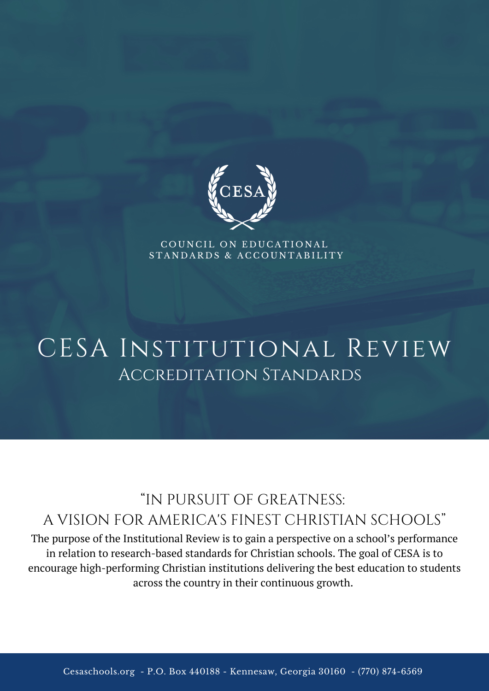

COUNCIL ON EDUCATIONAL STANDARDS & ACCOUNTABILITY

# CESA INSTITUTIONAL REVIEW Accreditation Standards

## "IN PURSUIT OF GREATNESS: A VISION FOR AMERICA'S FINEST CHRISTIAN SCHOOLS"

The purpose of the Institutional Review is to gain a perspective on a school's performance in relation to research-based standards for Christian schools. The goal of CESA is to encourage high-performing Christian institutions delivering the best education to students across the country in their continuous growth.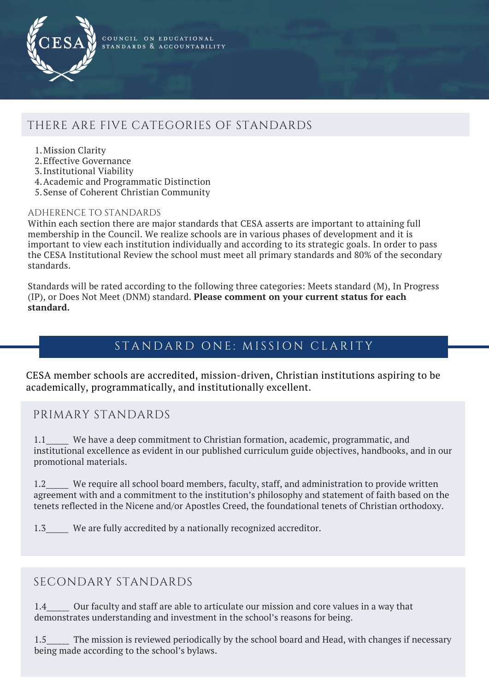

COUNCIL ON EDUCATIONAL STANDARDS & ACCOUNTABILITY

## THERE ARE FIVE CATEGORIES OF STANDARDS

- Mission Clarity 1.
- 2. Effective Governance
- Institutional Viability 3.
- Academic and Programmatic Distinction 4.
- 5. Sense of Coherent Christian Community

#### ADHERENCE TO STANDARDS

Within each section there are major standards that CESA asserts are important to attaining full membership in the Council. We realize schools are in various phases of development and it is important to view each institution individually and according to its strategic goals. In order to pass the CESA Institutional Review the school must meet all primary standards and 80% of the secondary standards.

Standards will be rated according to the following three categories: Meets standard (M), In Progress (IP), or Does Not Meet (DNM) standard. **Please comment on your current status for each standard.**

## STANDARD ONE: MISSION CLARITY

CESA member schools are accredited, mission-driven, Christian institutions aspiring to be academically, programmatically, and institutionally excellent.

#### PRIMARY STANDARDS

1.1 We have a deep commitment to Christian formation, academic, programmatic, and institutional excellence as evident in our published curriculum guide objectives, handbooks, and in our promotional materials.

1.2\_\_\_\_\_ We require all school board members, faculty, staff, and administration to provide written agreement with and a commitment to the institution's philosophy and statement of faith based on the tenets reflected in the Nicene and/or Apostles Creed, the foundational tenets of Christian orthodoxy.

1.3\_\_\_\_\_\_ We are fully accredited by a nationally recognized accreditor.

#### SECONDARY STANDARDS

1.4 Cure faculty and staff are able to articulate our mission and core values in a way that demonstrates understanding and investment in the school's reasons for being.

1.5 The mission is reviewed periodically by the school board and Head, with changes if necessary being made according to the school's bylaws.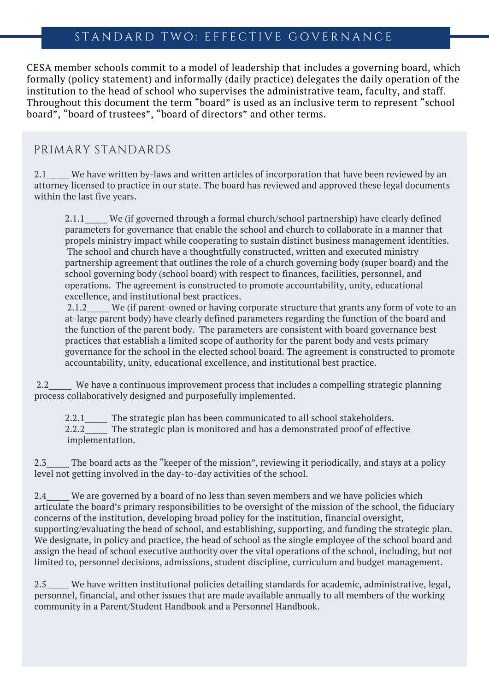#### STANDARD TWO: EFFECTIVE GOVERNANCE

CESA member schools commit to a model of leadership that includes a governing board, which formally (policy statement) and informally (daily practice) delegates the daily operation of the institution to the head of school who supervises the administrative team, faculty, and staff. Throughout this document the term "board" is used as an inclusive term to represent "school board", "board of trustees", "board of directors" and other terms.

#### PRIMARY STANDARDS

2.1\_\_\_\_\_ We have written by-laws and written articles of incorporation that have been reviewed by an attorney licensed to practice in our state. The board has reviewed and approved these legal documents within the last five years.

2.1.1 We (if governed through a formal church/school partnership) have clearly defined parameters for governance that enable the school and church to collaborate in a manner that propels ministry impact while cooperating to sustain distinct business management identities. The school and church have a thoughtfully constructed, written and executed ministry partnership agreement that outlines the role of a church governing body (super board) and the school governing body (school board) with respect to finances, facilities, personnel, and operations. The agreement is constructed to promote accountability, unity, educational excellence, and institutional best practices.

2.1.2 We (if parent-owned or having corporate structure that grants any form of vote to an at-large parent body) have clearly defined parameters regarding the function of the board and the function of the parent body. The parameters are consistent with board governance best practices that establish a limited scope of authority for the parent body and vests primary governance for the school in the elected school board. The agreement is constructed to promote accountability, unity, educational excellence, and institutional best practice.

2.2\_\_\_\_\_\_ We have a continuous improvement process that includes a compelling strategic planning process collaboratively designed and purposefully implemented.

2.2.1 The strategic plan has been communicated to all school stakeholders. 2.2.2\_\_\_\_\_\_ The strategic plan is monitored and has a demonstrated proof of effective implementation.

2.3 The board acts as the "keeper of the mission", reviewing it periodically, and stays at a policy level not getting involved in the day-to-day activities of the school.

2.4 We are governed by a board of no less than seven members and we have policies which articulate the board's primary responsibilities to be oversight of the mission of the school, the fiduciary concerns of the institution, developing broad policy for the institution, financial oversight, supporting/evaluating the head of school, and establishing, supporting, and funding the strategic plan. We designate, in policy and practice, the head of school as the single employee of the school board and assign the head of school executive authority over the vital operations of the school, including, but not limited to, personnel decisions, admissions, student discipline, curriculum and budget management.

2.5 We have written institutional policies detailing standards for academic, administrative, legal, personnel, financial, and other issues that are made available annually to all members of the working community in a Parent/Student Handbook and a Personnel Handbook.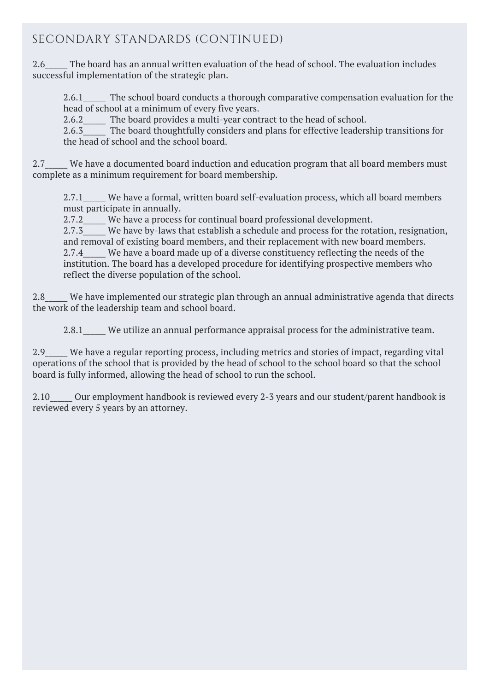## SECONDARY STANDARDS (CONTINUED)

2.6 The board has an annual written evaluation of the head of school. The evaluation includes successful implementation of the strategic plan.

2.6.1 The school board conducts a thorough comparative compensation evaluation for the head of school at a minimum of every five years.

2.6.2 The board provides a multi-year contract to the head of school.

2.6.3 The board thoughtfully considers and plans for effective leadership transitions for the head of school and the school board.

2.7 We have a documented board induction and education program that all board members must complete as a minimum requirement for board membership.

2.7.1 We have a formal, written board self-evaluation process, which all board members must participate in annually.

2.7.2 We have a process for continual board professional development.

2.7.3 We have by-laws that establish a schedule and process for the rotation, resignation, and removal of existing board members, and their replacement with new board members. 2.7.4 We have a board made up of a diverse constituency reflecting the needs of the institution. The board has a developed procedure for identifying prospective members who reflect the diverse population of the school.

2.8 We have implemented our strategic plan through an annual administrative agenda that directs the work of the leadership team and school board.

2.8.1 We utilize an annual performance appraisal process for the administrative team.

2.9\_\_\_\_\_\_ We have a regular reporting process, including metrics and stories of impact, regarding vital operations of the school that is provided by the head of school to the school board so that the school board is fully informed, allowing the head of school to run the school.

2.10 Our employment handbook is reviewed every 2-3 years and our student/parent handbook is reviewed every 5 years by an attorney.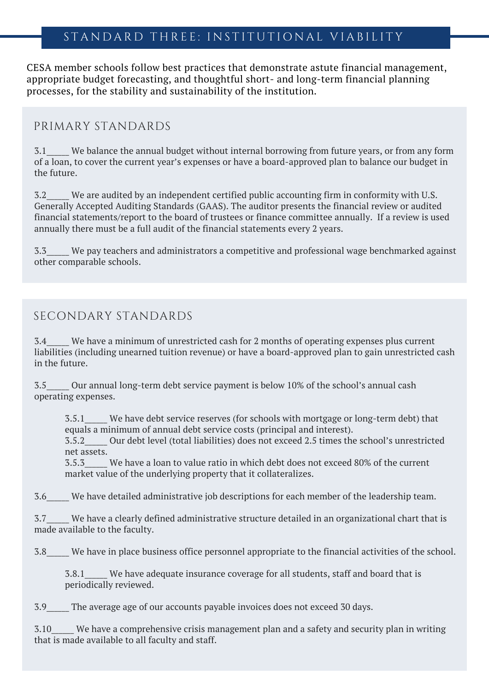#### STANDARD THREE: INSTITUTIONAL VIABILITY

CESA member schools follow best practices that demonstrate astute financial management, appropriate budget forecasting, and thoughtful short- and long-term financial planning processes, for the stability and sustainability of the institution.

#### PRIMARY STANDARDS

3.1\_\_\_\_\_\_ We balance the annual budget without internal borrowing from future years, or from any form of a loan, to cover the current year's expenses or have a board-approved plan to balance our budget in the future.

3.2\_\_\_\_\_\_ We are audited by an independent certified public accounting firm in conformity with U.S. Generally Accepted Auditing Standards (GAAS). The auditor presents the financial review or audited financial statements/report to the board of trustees or finance committee annually. If a review is used annually there must be a full audit of the financial statements every 2 years.

3.3\_\_\_\_\_\_ We pay teachers and administrators a competitive and professional wage benchmarked against other comparable schools.

#### SECONDARY STANDARDS

3.4\_\_\_\_\_\_ We have a minimum of unrestricted cash for 2 months of operating expenses plus current liabilities (including unearned tuition revenue) or have a board-approved plan to gain unrestricted cash in the future.

3.5\_\_\_\_\_\_ Our annual long-term debt service payment is below 10% of the school's annual cash operating expenses.

3.5.1\_\_\_\_\_\_ We have debt service reserves (for schools with mortgage or long-term debt) that equals a minimum of annual debt service costs (principal and interest).

3.5.2\_\_\_\_\_\_ Our debt level (total liabilities) does not exceed 2.5 times the school's unrestricted net assets.

3.5.3\_\_\_\_\_\_ We have a loan to value ratio in which debt does not exceed 80% of the current market value of the underlying property that it collateralizes.

3.6\_\_\_\_\_\_ We have detailed administrative job descriptions for each member of the leadership team.

3.7\_\_\_\_\_\_ We have a clearly defined administrative structure detailed in an organizational chart that is made available to the faculty.

3.8\_\_\_\_\_\_ We have in place business office personnel appropriate to the financial activities of the school.

3.8.1\_\_\_\_\_\_ We have adequate insurance coverage for all students, staff and board that is periodically reviewed.

3.9\_\_\_\_\_\_ The average age of our accounts payable invoices does not exceed 30 days.

3.10\_\_\_\_\_\_ We have a comprehensive crisis management plan and a safety and security plan in writing that is made available to all faculty and staff.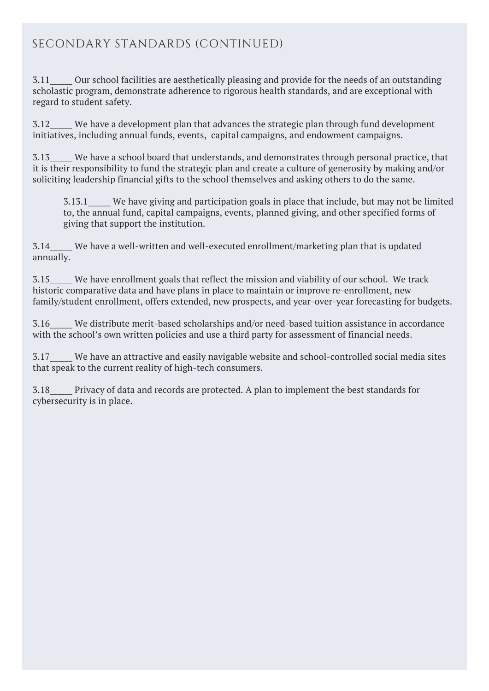## SECONDARY STANDARDS (CONTINUED)

3.11\_\_\_\_\_\_ Our school facilities are aesthetically pleasing and provide for the needs of an outstanding scholastic program, demonstrate adherence to rigorous health standards, and are exceptional with regard to student safety.

3.12\_\_\_\_\_\_ We have a development plan that advances the strategic plan through fund development initiatives, including annual funds, events, capital campaigns, and endowment campaigns.

3.13\_\_\_\_\_\_ We have a school board that understands, and demonstrates through personal practice, that it is their responsibility to fund the strategic plan and create a culture of generosity by making and/or soliciting leadership financial gifts to the school themselves and asking others to do the same.

3.13.1 We have giving and participation goals in place that include, but may not be limited to, the annual fund, capital campaigns, events, planned giving, and other specified forms of giving that support the institution.

3.14\_\_\_\_\_\_ We have a well-written and well-executed enrollment/marketing plan that is updated annually.

3.15\_\_\_\_\_\_ We have enrollment goals that reflect the mission and viability of our school. We track historic comparative data and have plans in place to maintain or improve re-enrollment, new family/student enrollment, offers extended, new prospects, and year-over-year forecasting for budgets.

3.16\_\_\_\_\_\_ We distribute merit-based scholarships and/or need-based tuition assistance in accordance with the school's own written policies and use a third party for assessment of financial needs.

3.17\_\_\_\_\_\_ We have an attractive and easily navigable website and school-controlled social media sites that speak to the current reality of high-tech consumers.

3.18\_\_\_\_\_\_ Privacy of data and records are protected. A plan to implement the best standards for cybersecurity is in place.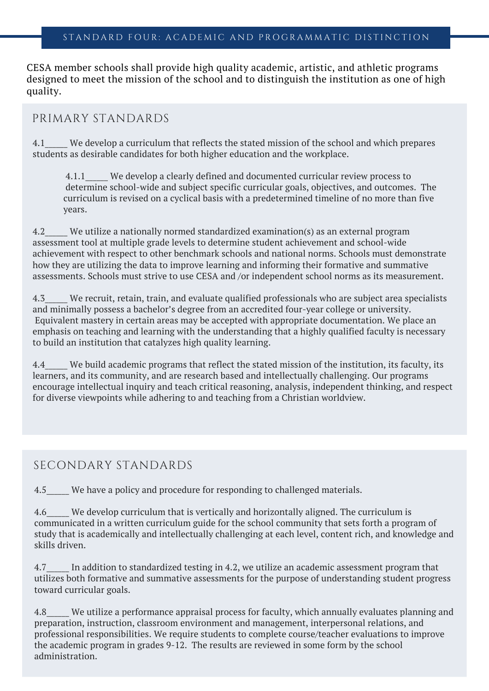CESA member schools shall provide high quality academic, artistic, and athletic programs designed to meet the mission of the school and to distinguish the institution as one of high quality.

#### PRIMARY STANDARDS

4.1\_\_\_\_\_\_ We develop a curriculum that reflects the stated mission of the school and which prepares students as desirable candidates for both higher education and the workplace.

4.1.1\_\_\_\_\_\_ We develop a clearly defined and documented curricular review process to determine school-wide and subject specific curricular goals, objectives, and outcomes. The curriculum is revised on a cyclical basis with a predetermined timeline of no more than five years.

4.2\_\_\_\_\_\_ We utilize a nationally normed standardized examination(s) as an external program assessment tool at multiple grade levels to determine student achievement and school-wide achievement with respect to other benchmark schools and national norms. Schools must demonstrate how they are utilizing the data to improve learning and informing their formative and summative assessments. Schools must strive to use CESA and /or independent school norms as its measurement.

4.3 We recruit, retain, train, and evaluate qualified professionals who are subject area specialists and minimally possess a bachelor's degree from an accredited four-year college or university. Equivalent mastery in certain areas may be accepted with appropriate documentation. We place an emphasis on teaching and learning with the understanding that a highly qualified faculty is necessary to build an institution that catalyzes high quality learning.

4.4 We build academic programs that reflect the stated mission of the institution, its faculty, its learners, and its community, and are research based and intellectually challenging. Our programs encourage intellectual inquiry and teach critical reasoning, analysis, independent thinking, and respect for diverse viewpoints while adhering to and teaching from a Christian worldview.

#### SECONDARY STANDARDS

4.5 We have a policy and procedure for responding to challenged materials.

4.6 We develop curriculum that is vertically and horizontally aligned. The curriculum is communicated in a written curriculum guide for the school community that sets forth a program of study that is academically and intellectually challenging at each level, content rich, and knowledge and skills driven.

4.7\_\_\_\_\_ In addition to standardized testing in 4.2, we utilize an academic assessment program that utilizes both formative and summative assessments for the purpose of understanding student progress toward curricular goals.

4.8\_\_\_\_\_\_ We utilize a performance appraisal process for faculty, which annually evaluates planning and preparation, instruction, classroom environment and management, interpersonal relations, and professional responsibilities. We require students to complete course/teacher evaluations to improve the academic program in grades 9-12. The results are reviewed in some form by the school administration.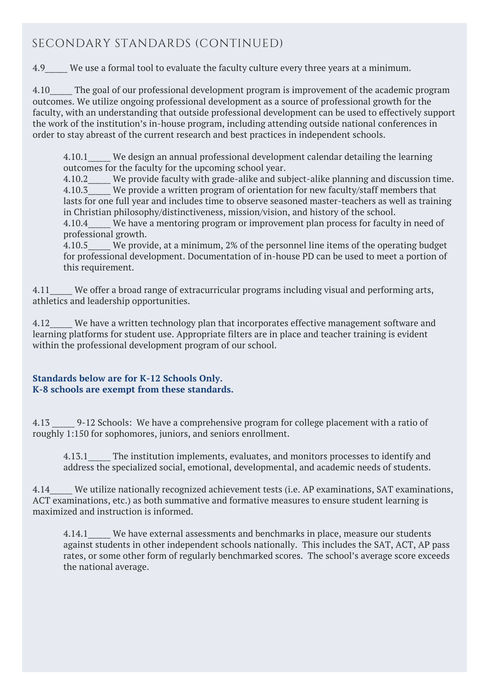### SECONDARY STANDARDS (CONTINUED)

4.9 We use a formal tool to evaluate the faculty culture every three years at a minimum.

4.10 The goal of our professional development program is improvement of the academic program outcomes. We utilize ongoing professional development as a source of professional growth for the faculty, with an understanding that outside professional development can be used to effectively support the work of the institution's in-house program, including attending outside national conferences in order to stay abreast of the current research and best practices in independent schools.

4.10.1 We design an annual professional development calendar detailing the learning outcomes for the faculty for the upcoming school year.

4.10.2 We provide faculty with grade-alike and subject-alike planning and discussion time. 4.10.3 We provide a written program of orientation for new faculty/staff members that lasts for one full year and includes time to observe seasoned master-teachers as well as training in Christian philosophy/distinctiveness, mission/vision, and history of the school.

4.10.4\_\_\_\_\_\_ We have a mentoring program or improvement plan process for faculty in need of professional growth.

4.10.5 We provide, at a minimum, 2% of the personnel line items of the operating budget for professional development. Documentation of in-house PD can be used to meet a portion of this requirement.

4.11 We offer a broad range of extracurricular programs including visual and performing arts, athletics and leadership opportunities.

4.12 We have a written technology plan that incorporates effective management software and learning platforms for student use. Appropriate filters are in place and teacher training is evident within the professional development program of our school.

#### **Standards below are for K-12 Schools Only. K-8 schools are exempt from these standards.**

4.13 \_\_\_\_\_\_ 9-12 Schools: We have a comprehensive program for college placement with a ratio of roughly 1:150 for sophomores, juniors, and seniors enrollment.

4.13.1\_\_\_\_\_\_ The institution implements, evaluates, and monitors processes to identify and address the specialized social, emotional, developmental, and academic needs of students.

4.14\_\_\_\_\_\_ We utilize nationally recognized achievement tests (i.e. AP examinations, SAT examinations, ACT examinations, etc.) as both summative and formative measures to ensure student learning is maximized and instruction is informed.

4.14.1 We have external assessments and benchmarks in place, measure our students against students in other independent schools nationally. This includes the SAT, ACT, AP pass rates, or some other form of regularly benchmarked scores. The school's average score exceeds the national average.